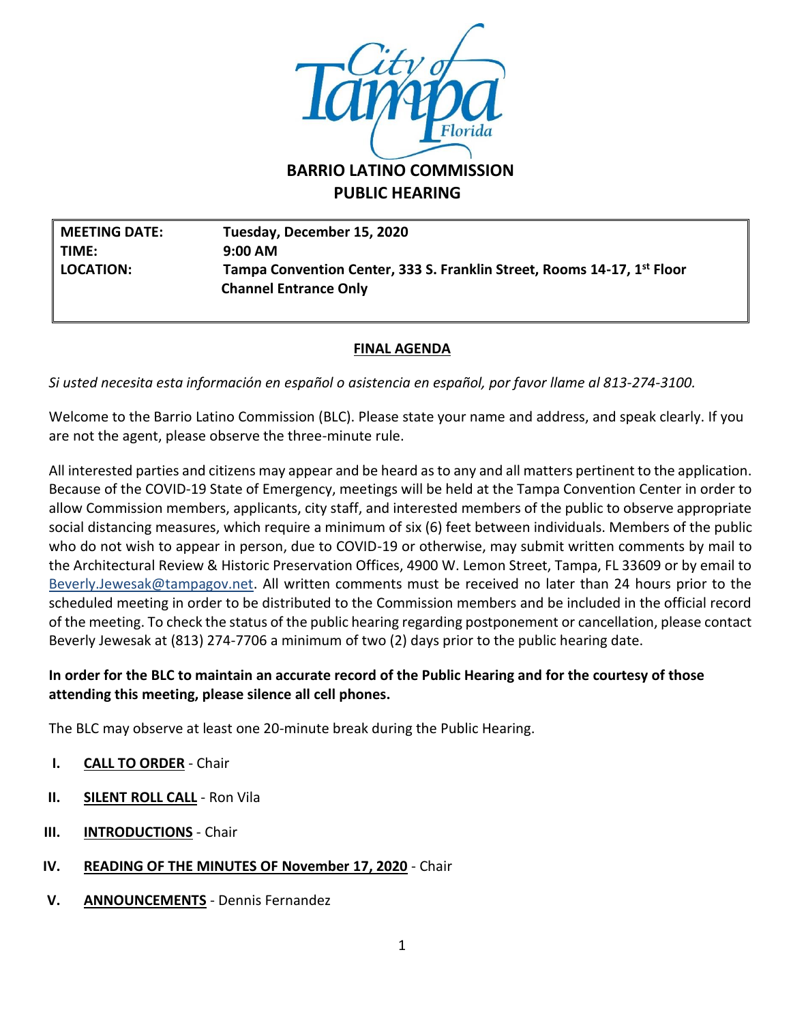

# **PUBLIC HEARING**

**MEETING DATE: Tuesday, December 15, 2020 TIME: 9:00 AM LOCATION: Tampa Convention Center, 333 S. Franklin Street, Rooms 14-17, 1st Floor Channel Entrance Only** 

## **FINAL AGENDA**

*Si usted necesita esta información en español o asistencia en español, por favor llame al 813-274-3100.*

Welcome to the Barrio Latino Commission (BLC). Please state your name and address, and speak clearly. If you are not the agent, please observe the three-minute rule.

All interested parties and citizens may appear and be heard as to any and all matters pertinent to the application. Because of the COVID-19 State of Emergency, meetings will be held at the Tampa Convention Center in order to allow Commission members, applicants, city staff, and interested members of the public to observe appropriate social distancing measures, which require a minimum of six (6) feet between individuals. Members of the public who do not wish to appear in person, due to COVID-19 or otherwise, may submit written comments by mail to the Architectural Review & Historic Preservation Offices, 4900 W. Lemon Street, Tampa, FL 33609 or by email to [Beverly.Jewesak@tampagov.net.](mailto:Beverly.Jewesak@tampagov.net) All written comments must be received no later than 24 hours prior to the scheduled meeting in order to be distributed to the Commission members and be included in the official record of the meeting. To check the status of the public hearing regarding postponement or cancellation, please contact Beverly Jewesak at (813) 274-7706 a minimum of two (2) days prior to the public hearing date.

## **In order for the BLC to maintain an accurate record of the Public Hearing and for the courtesy of those attending this meeting, please silence all cell phones.**

The BLC may observe at least one 20-minute break during the Public Hearing.

- **I. CALL TO ORDER** Chair
- **II. SILENT ROLL CALL** Ron Vila
- **III. INTRODUCTIONS** Chair
- **IV. READING OF THE MINUTES OF November 17, 2020** Chair
- **V. ANNOUNCEMENTS** Dennis Fernandez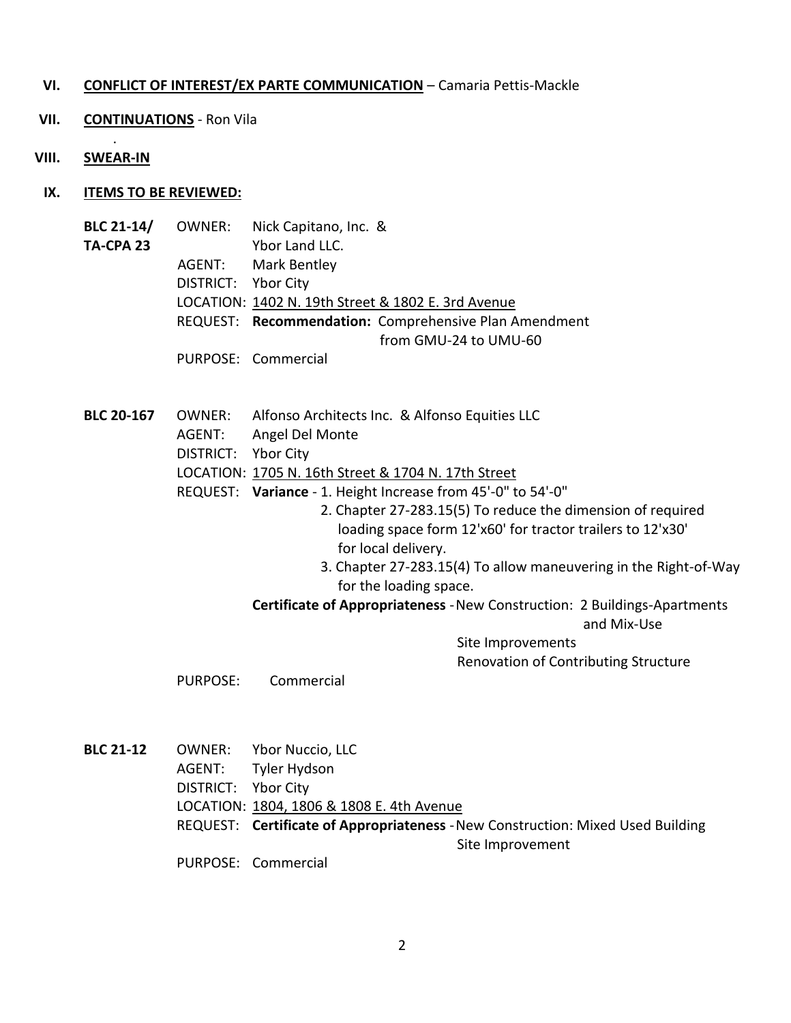#### **VI. CONFLICT OF INTEREST/EX PARTE COMMUNICATION** – Camaria Pettis-Mackle

- **VII. CONTINUATIONS** Ron Vila
- **VIII. SWEAR-IN**

.

- **IX. ITEMS TO BE REVIEWED:**
	- **BLC 21-14/** OWNER: Nick Capitano, Inc. & **TA-CPA 23** Ybor Land LLC. AGENT: Mark Bentley DISTRICT: Ybor City LOCATION: 1402 N. 19th Street & 1802 E. 3rd Avenue REQUEST: **Recommendation:** Comprehensive Plan Amendment from GMU-24 to UMU-60 PURPOSE: Commercial
	- **BLC 20-167** OWNER: Alfonso Architects Inc. & Alfonso Equities LLC
		- AGENT: Angel Del Monte
		- DISTRICT: Ybor City
		- LOCATION: 1705 N. 16th Street & 1704 N. 17th Street
		- REQUEST: **Variance** 1. Height Increase from 45'-0" to 54'-0"
			- 2. Chapter 27-283.15(5) To reduce the dimension of required loading space form 12'x60' for tractor trailers to 12'x30' for local delivery.
			- 3. Chapter 27-283.15(4) To allow maneuvering in the Right-of-Way for the loading space.
			- **Certificate of Appropriateness** -New Construction: 2 Buildings-Apartments

and Mix-Use

Site Improvements Renovation of Contributing Structure

PURPOSE: Commercial

**BLC 21-12** OWNER: Ybor Nuccio, LLC AGENT: Tyler Hydson DISTRICT: Ybor City LOCATION: 1804, 1806 & 1808 E. 4th Avenue REQUEST: **Certificate of Appropriateness** -New Construction: Mixed Used Building Site Improvement PURPOSE: Commercial